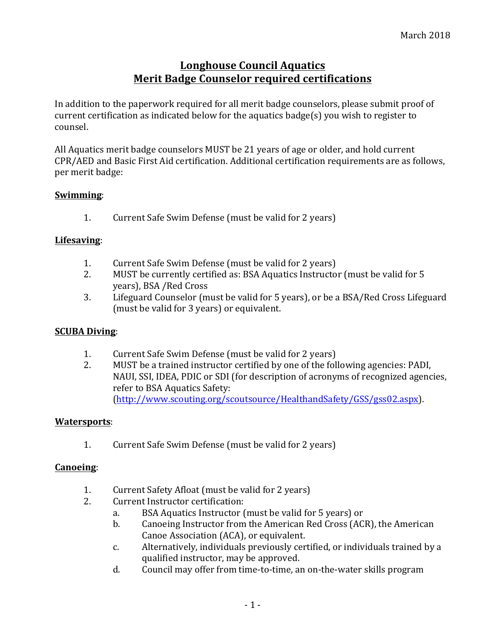# **Longhouse Council Aquatics Merit Badge Counselor required certifications**

In addition to the paperwork required for all merit badge counselors, please submit proof of current certification as indicated below for the aquatics badge(s) you wish to register to counsel.

All Aquatics merit badge counselors MUST be 21 years of age or older, and hold current CPR/AED and Basic First Aid certification. Additional certification requirements are as follows, per merit badge:

# **Swimming**:

1. Current Safe Swim Defense (must be valid for 2 years)

### **Lifesaving**:

- 1. Current Safe Swim Defense (must be valid for 2 years)
- 2. MUST be currently certified as: BSA Aquatics Instructor (must be valid for 5 years), BSA / Red Cross
- 3. Lifeguard Counselor (must be valid for 5 years), or be a BSA/Red Cross Lifeguard (must be valid for 3 years) or equivalent.

### **SCUBA Diving**:

- 1. Current Safe Swim Defense (must be valid for 2 years)
- 2. MUST be a trained instructor certified by one of the following agencies: PADI, NAUI, SSI, IDEA, PDIC or SDI (for description of acronyms of recognized agencies, refer to BSA Aquatics Safety: (http://www.scouting.org/scoutsource/HealthandSafety/GSS/gss02.aspx).

### **Watersports**:

1. Current Safe Swim Defense (must be valid for 2 years)

### **Canoeing**:

- 1. Current Safety Afloat (must be valid for 2 years)
- 2. Current Instructor certification:
	- a. BSA Aquatics Instructor (must be valid for 5 years) or
	- b. Canoeing Instructor from the American Red Cross (ACR), the American Canoe Association (ACA), or equivalent.
	- c. Alternatively, individuals previously certified, or individuals trained by a qualified instructor, may be approved.
	- d. Council may offer from time-to-time, an on-the-water skills program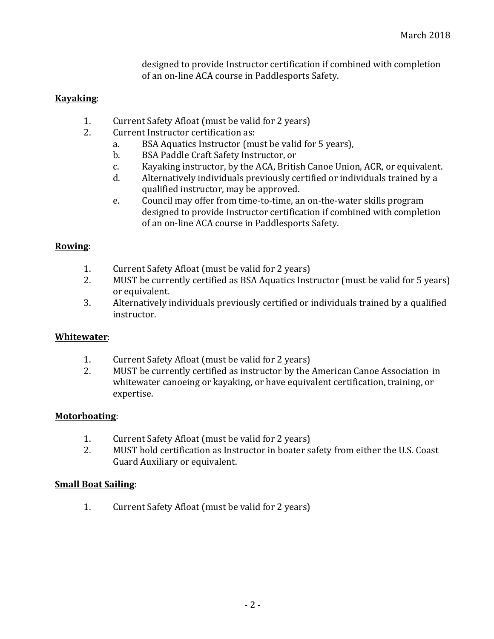designed to provide Instructor certification if combined with completion of an on-line ACA course in Paddlesports Safety.

## **Kayaking**:

- 1. Current Safety Afloat (must be valid for 2 years)
- 2. Current Instructor certification as:
	- a. BSA Aquatics Instructor (must be valid for 5 years),
	- b. BSA Paddle Craft Safety Instructor, or
	- c. Kayaking instructor, by the ACA, British Canoe Union, ACR, or equivalent.
	- d. Alternatively individuals previously certified or individuals trained by a qualified instructor, may be approved.
	- e. Council may offer from time-to-time, an on-the-water skills program designed to provide Instructor certification if combined with completion of an on-line ACA course in Paddlesports Safety.

### **Rowing**:

- 1. Current Safety Afloat (must be valid for 2 years)
- 2. MUST be currently certified as BSA Aquatics Instructor (must be valid for 5 years) or equivalent.
- 3. Alternatively individuals previously certified or individuals trained by a qualified instructor.

### **Whitewater**:

- 1. Current Safety Afloat (must be valid for 2 years)
- 2. MUST be currently certified as instructor by the American Canoe Association in whitewater canoeing or kayaking, or have equivalent certification, training, or expertise.

### **Motorboating**:

- 1. Current Safety Afloat (must be valid for 2 years)
- 2. MUST hold certification as Instructor in boater safety from either the U.S. Coast Guard Auxiliary or equivalent.

#### **Small Boat Sailing:**

1. Current Safety Afloat (must be valid for 2 years)